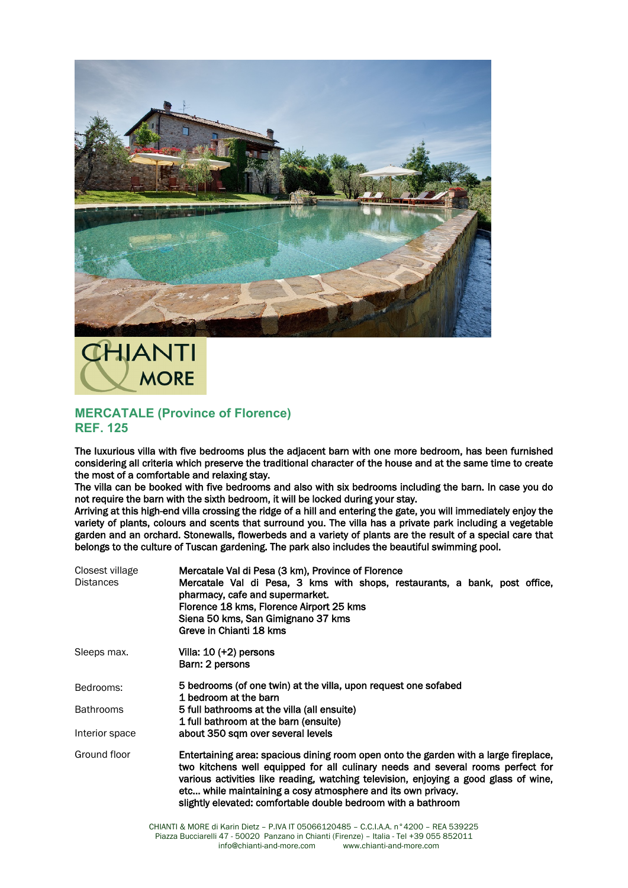



## **MERCATALE (Province of Florence) REF. 125**

The luxurious villa with five bedrooms plus the adjacent barn with one more bedroom, has been furnished considering all criteria which preserve the traditional character of the house and at the same time to create the most of a comfortable and relaxing stay.

The villa can be booked with five bedrooms and also with six bedrooms including the barn. In case you do not require the barn with the sixth bedroom, it will be locked during your stay.

Arriving at this high-end villa crossing the ridge of a hill and entering the gate, you will immediately enjoy the variety of plants, colours and scents that surround you. The villa has a private park including a vegetable garden and an orchard. Stonewalls, flowerbeds and a variety of plants are the result of a special care that belongs to the culture of Tuscan gardening. The park also includes the beautiful swimming pool.

| Closest village<br><b>Distances</b> | Mercatale Val di Pesa (3 km), Province of Florence<br>Mercatale Val di Pesa, 3 kms with shops, restaurants, a bank, post office,<br>pharmacy, cafe and supermarket.<br>Florence 18 kms, Florence Airport 25 kms<br>Siena 50 kms, San Gimignano 37 kms<br>Greve in Chianti 18 kms                                                                                                                 |
|-------------------------------------|--------------------------------------------------------------------------------------------------------------------------------------------------------------------------------------------------------------------------------------------------------------------------------------------------------------------------------------------------------------------------------------------------|
| Sleeps max.                         | Villa: $10 (+2)$ persons<br>Barn: 2 persons                                                                                                                                                                                                                                                                                                                                                      |
| Bedrooms:                           | 5 bedrooms (of one twin) at the villa, upon request one sofabed<br>1 bedroom at the barn                                                                                                                                                                                                                                                                                                         |
| <b>Bathrooms</b>                    | 5 full bathrooms at the villa (all ensuite)<br>1 full bathroom at the barn (ensuite)                                                                                                                                                                                                                                                                                                             |
| Interior space                      | about 350 sqm over several levels                                                                                                                                                                                                                                                                                                                                                                |
| Ground floor                        | Entertaining area: spacious dining room open onto the garden with a large fireplace,<br>two kitchens well equipped for all culinary needs and several rooms perfect for<br>various activities like reading, watching television, enjoying a good glass of wine,<br>etc while maintaining a cosy atmosphere and its own privacy.<br>slightly elevated: comfortable double bedroom with a bathroom |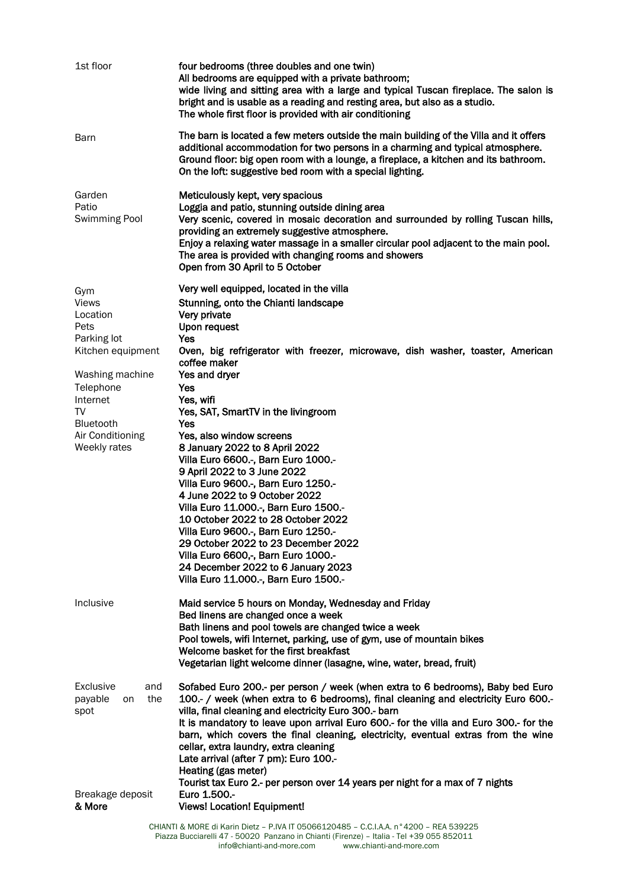| The barn is located a few meters outside the main building of the Villa and it offers<br>Barn<br>additional accommodation for two persons in a charming and typical atmosphere.<br>Ground floor: big open room with a lounge, a fireplace, a kitchen and its bathroom.<br>On the loft: suggestive bed room with a special lighting.<br>Garden<br>Meticulously kept, very spacious<br>Loggia and patio, stunning outside dining area<br>Patio<br>Very scenic, covered in mosaic decoration and surrounded by rolling Tuscan hills,<br>Swimming Pool<br>providing an extremely suggestive atmosphere.<br>Enjoy a relaxing water massage in a smaller circular pool adjacent to the main pool.<br>The area is provided with changing rooms and showers<br>Open from 30 April to 5 October<br>Very well equipped, located in the villa<br>Gym<br>Stunning, onto the Chianti landscape<br><b>Views</b><br>Very private<br>Location<br>Pets<br>Upon request<br>Parking lot<br>Yes<br>Oven, big refrigerator with freezer, microwave, dish washer, toaster, American<br>Kitchen equipment<br>coffee maker<br>Yes and dryer<br>Washing machine<br>Yes<br>Telephone<br>Yes, wifi<br>Internet<br>TV<br>Yes, SAT, SmartTV in the livingroom<br><b>Bluetooth</b><br>Yes<br>Yes, also window screens<br>Air Conditioning<br>8 January 2022 to 8 April 2022<br>Weekly rates<br>Villa Euro 6600 .- , Barn Euro 1000 .-<br>9 April 2022 to 3 June 2022<br>Villa Euro 9600 .- , Barn Euro 1250 .-<br>4 June 2022 to 9 October 2022<br>Villa Euro 11.000 .- , Barn Euro 1500 .-<br>10 October 2022 to 28 October 2022<br>Villa Euro 9600 .- , Barn Euro 1250 .-<br>29 October 2022 to 23 December 2022<br>Villa Euro 6600,-, Barn Euro 1000.-<br>24 December 2022 to 6 January 2023<br>Villa Euro 11.000 -, Barn Euro 1500 -<br>Inclusive<br>Maid service 5 hours on Monday, Wednesday and Friday<br>Bed linens are changed once a week<br>Bath linens and pool towels are changed twice a week<br>Pool towels, wifi Internet, parking, use of gym, use of mountain bikes<br>Welcome basket for the first breakfast<br>Vegetarian light welcome dinner (lasagne, wine, water, bread, fruit)<br>Sofabed Euro 200.- per person / week (when extra to 6 bedrooms), Baby bed Euro<br>Exclusive<br>and<br>100.- / week (when extra to 6 bedrooms), final cleaning and electricity Euro 600.-<br>payable<br>the<br>on<br>villa, final cleaning and electricity Euro 300.- barn<br>spot<br>It is mandatory to leave upon arrival Euro 600.- for the villa and Euro 300.- for the<br>barn, which covers the final cleaning, electricity, eventual extras from the wine<br>cellar, extra laundry, extra cleaning<br>Late arrival (after 7 pm): Euro 100.-<br>Heating (gas meter)<br>Tourist tax Euro 2.- per person over 14 years per night for a max of 7 nights<br>Euro 1.500 .-<br>Breakage deposit<br>& More<br><b>Views! Location! Equipment!</b> | 1st floor | four bedrooms (three doubles and one twin)<br>All bedrooms are equipped with a private bathroom;<br>wide living and sitting area with a large and typical Tuscan fireplace. The salon is<br>bright and is usable as a reading and resting area, but also as a studio.<br>The whole first floor is provided with air conditioning |
|-----------------------------------------------------------------------------------------------------------------------------------------------------------------------------------------------------------------------------------------------------------------------------------------------------------------------------------------------------------------------------------------------------------------------------------------------------------------------------------------------------------------------------------------------------------------------------------------------------------------------------------------------------------------------------------------------------------------------------------------------------------------------------------------------------------------------------------------------------------------------------------------------------------------------------------------------------------------------------------------------------------------------------------------------------------------------------------------------------------------------------------------------------------------------------------------------------------------------------------------------------------------------------------------------------------------------------------------------------------------------------------------------------------------------------------------------------------------------------------------------------------------------------------------------------------------------------------------------------------------------------------------------------------------------------------------------------------------------------------------------------------------------------------------------------------------------------------------------------------------------------------------------------------------------------------------------------------------------------------------------------------------------------------------------------------------------------------------------------------------------------------------------------------------------------------------------------------------------------------------------------------------------------------------------------------------------------------------------------------------------------------------------------------------------------------------------------------------------------------------------------------------------------------------------------------------------------------------------------------------------------------------------------------------------------------------------------------------------------------------------------------------------------------------------------------------------------------------------------------------------------------------------------------------------------|-----------|----------------------------------------------------------------------------------------------------------------------------------------------------------------------------------------------------------------------------------------------------------------------------------------------------------------------------------|
|                                                                                                                                                                                                                                                                                                                                                                                                                                                                                                                                                                                                                                                                                                                                                                                                                                                                                                                                                                                                                                                                                                                                                                                                                                                                                                                                                                                                                                                                                                                                                                                                                                                                                                                                                                                                                                                                                                                                                                                                                                                                                                                                                                                                                                                                                                                                                                                                                                                                                                                                                                                                                                                                                                                                                                                                                                                                                                                             |           |                                                                                                                                                                                                                                                                                                                                  |
|                                                                                                                                                                                                                                                                                                                                                                                                                                                                                                                                                                                                                                                                                                                                                                                                                                                                                                                                                                                                                                                                                                                                                                                                                                                                                                                                                                                                                                                                                                                                                                                                                                                                                                                                                                                                                                                                                                                                                                                                                                                                                                                                                                                                                                                                                                                                                                                                                                                                                                                                                                                                                                                                                                                                                                                                                                                                                                                             |           |                                                                                                                                                                                                                                                                                                                                  |
|                                                                                                                                                                                                                                                                                                                                                                                                                                                                                                                                                                                                                                                                                                                                                                                                                                                                                                                                                                                                                                                                                                                                                                                                                                                                                                                                                                                                                                                                                                                                                                                                                                                                                                                                                                                                                                                                                                                                                                                                                                                                                                                                                                                                                                                                                                                                                                                                                                                                                                                                                                                                                                                                                                                                                                                                                                                                                                                             |           |                                                                                                                                                                                                                                                                                                                                  |
|                                                                                                                                                                                                                                                                                                                                                                                                                                                                                                                                                                                                                                                                                                                                                                                                                                                                                                                                                                                                                                                                                                                                                                                                                                                                                                                                                                                                                                                                                                                                                                                                                                                                                                                                                                                                                                                                                                                                                                                                                                                                                                                                                                                                                                                                                                                                                                                                                                                                                                                                                                                                                                                                                                                                                                                                                                                                                                                             |           |                                                                                                                                                                                                                                                                                                                                  |
| CHIANTI & MORE di Karin Dietz - P IVA IT 05066120485 - C.C.LA.A. n°4200 - REA 539225                                                                                                                                                                                                                                                                                                                                                                                                                                                                                                                                                                                                                                                                                                                                                                                                                                                                                                                                                                                                                                                                                                                                                                                                                                                                                                                                                                                                                                                                                                                                                                                                                                                                                                                                                                                                                                                                                                                                                                                                                                                                                                                                                                                                                                                                                                                                                                                                                                                                                                                                                                                                                                                                                                                                                                                                                                        |           |                                                                                                                                                                                                                                                                                                                                  |